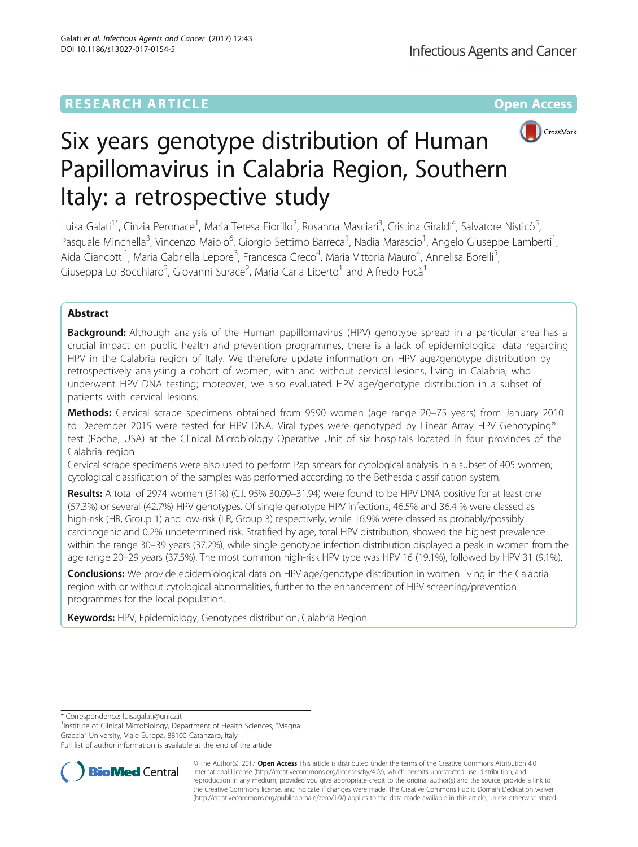## **RESEARCH ARTICLE Example 2014 12:30 The Community Community Community Community Community Community Community**



# Six years genotype distribution of Human Papillomavirus in Calabria Region, Southern Italy: a retrospective study

Luisa Galati<sup>1\*</sup>, Cinzia Peronace<sup>1</sup>, Maria Teresa Fiorillo<sup>2</sup>, Rosanna Masciari<sup>3</sup>, Cristina Giraldi<sup>4</sup>, Salvatore Nisticò<sup>5</sup> , Pasquale Minchella<sup>3</sup>, Vincenzo Maiolo<sup>6</sup>, Giorgio Settimo Barreca<sup>1</sup>, Nadia Marascio<sup>1</sup>, Angelo Giuseppe Lamberti<sup>1</sup> , Aida Giancotti<sup>1</sup>, Maria Gabriella Lepore<sup>3</sup>, Francesca Greco<sup>4</sup>, Maria Vittoria Mauro<sup>4</sup>, Annelisa Borelli<sup>5</sup> , Giuseppa Lo Bocchiaro<sup>2</sup>, Giovanni Surace<sup>2</sup>, Maria Carla Liberto<sup>1</sup> and Alfredo Focà<sup>1</sup>

## Abstract

Background: Although analysis of the Human papillomavirus (HPV) genotype spread in a particular area has a crucial impact on public health and prevention programmes, there is a lack of epidemiological data regarding HPV in the Calabria region of Italy. We therefore update information on HPV age/genotype distribution by retrospectively analysing a cohort of women, with and without cervical lesions, living in Calabria, who underwent HPV DNA testing; moreover, we also evaluated HPV age/genotype distribution in a subset of patients with cervical lesions.

Methods: Cervical scrape specimens obtained from 9590 women (age range 20–75 years) from January 2010 to December 2015 were tested for HPV DNA. Viral types were genotyped by Linear Array HPV Genotyping® test (Roche, USA) at the Clinical Microbiology Operative Unit of six hospitals located in four provinces of the Calabria region.

Cervical scrape specimens were also used to perform Pap smears for cytological analysis in a subset of 405 women; cytological classification of the samples was performed according to the Bethesda classification system.

Results: A total of 2974 women (31%) (C.I. 95% 30.09-31.94) were found to be HPV DNA positive for at least one (57.3%) or several (42.7%) HPV genotypes. Of single genotype HPV infections, 46.5% and 36.4 % were classed as high-risk (HR, Group 1) and low-risk (LR, Group 3) respectively, while 16.9% were classed as probably/possibly carcinogenic and 0.2% undetermined risk. Stratified by age, total HPV distribution, showed the highest prevalence within the range 30–39 years (37.2%), while single genotype infection distribution displayed a peak in women from the age range 20–29 years (37.5%). The most common high-risk HPV type was HPV 16 (19.1%), followed by HPV 31 (9.1%).

Conclusions: We provide epidemiological data on HPV age/genotype distribution in women living in the Calabria region with or without cytological abnormalities, further to the enhancement of HPV screening/prevention programmes for the local population.

Keywords: HPV, Epidemiology, Genotypes distribution, Calabria Region

\* Correspondence: [luisagalati@unicz.it](mailto:luisagalati@unicz.it) <sup>1</sup>

<sup>1</sup>Institute of Clinical Microbiology, Department of Health Sciences, "Magna Graecia" University, Viale Europa, 88100 Catanzaro, Italy

Full list of author information is available at the end of the article



© The Author(s). 2017 **Open Access** This article is distributed under the terms of the Creative Commons Attribution 4.0 International License [\(http://creativecommons.org/licenses/by/4.0/](http://creativecommons.org/licenses/by/4.0/)), which permits unrestricted use, distribution, and reproduction in any medium, provided you give appropriate credit to the original author(s) and the source, provide a link to the Creative Commons license, and indicate if changes were made. The Creative Commons Public Domain Dedication waiver [\(http://creativecommons.org/publicdomain/zero/1.0/](http://creativecommons.org/publicdomain/zero/1.0/)) applies to the data made available in this article, unless otherwise stated.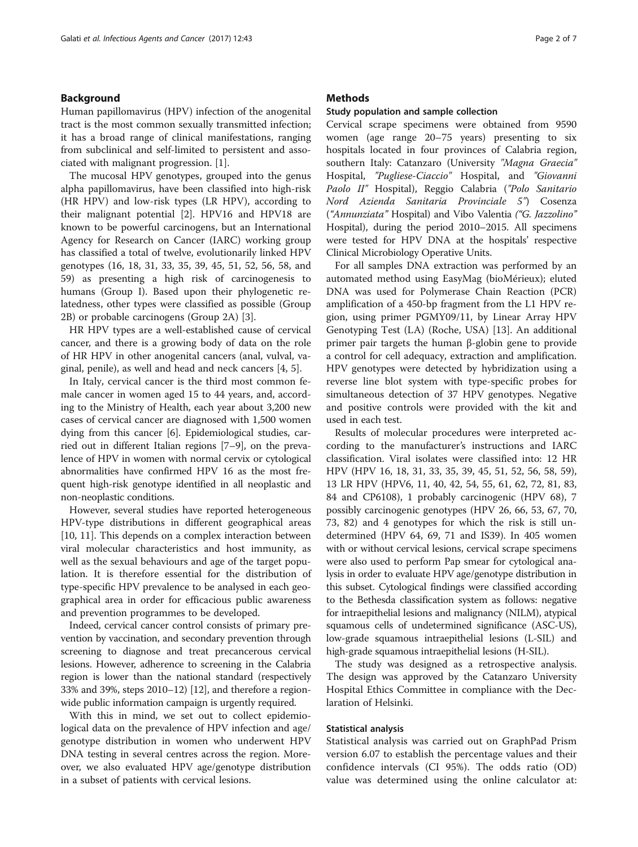#### Background

Human papillomavirus (HPV) infection of the anogenital tract is the most common sexually transmitted infection; it has a broad range of clinical manifestations, ranging from subclinical and self-limited to persistent and associated with malignant progression. [\[1\]](#page-5-0).

The mucosal HPV genotypes, grouped into the genus alpha papillomavirus, have been classified into high-risk (HR HPV) and low-risk types (LR HPV), according to their malignant potential [[2\]](#page-5-0). HPV16 and HPV18 are known to be powerful carcinogens, but an International Agency for Research on Cancer (IARC) working group has classified a total of twelve, evolutionarily linked HPV genotypes (16, 18, 31, 33, 35, 39, 45, 51, 52, 56, 58, and 59) as presenting a high risk of carcinogenesis to humans (Group I). Based upon their phylogenetic relatedness, other types were classified as possible (Group 2B) or probable carcinogens (Group 2A) [[3\]](#page-5-0).

HR HPV types are a well-established cause of cervical cancer, and there is a growing body of data on the role of HR HPV in other anogenital cancers (anal, vulval, vaginal, penile), as well and head and neck cancers [[4, 5\]](#page-5-0).

In Italy, cervical cancer is the third most common female cancer in women aged 15 to 44 years, and, according to the Ministry of Health, each year about 3,200 new cases of cervical cancer are diagnosed with 1,500 women dying from this cancer [[6\]](#page-5-0). Epidemiological studies, carried out in different Italian regions [\[7](#page-5-0)–[9\]](#page-5-0), on the prevalence of HPV in women with normal cervix or cytological abnormalities have confirmed HPV 16 as the most frequent high-risk genotype identified in all neoplastic and non-neoplastic conditions.

However, several studies have reported heterogeneous HPV-type distributions in different geographical areas [[10, 11\]](#page-5-0). This depends on a complex interaction between viral molecular characteristics and host immunity, as well as the sexual behaviours and age of the target population. It is therefore essential for the distribution of type-specific HPV prevalence to be analysed in each geographical area in order for efficacious public awareness and prevention programmes to be developed.

Indeed, cervical cancer control consists of primary prevention by vaccination, and secondary prevention through screening to diagnose and treat precancerous cervical lesions. However, adherence to screening in the Calabria region is lower than the national standard (respectively 33% and 39%, steps 2010–12) [[12](#page-5-0)], and therefore a regionwide public information campaign is urgently required.

With this in mind, we set out to collect epidemiological data on the prevalence of HPV infection and age/ genotype distribution in women who underwent HPV DNA testing in several centres across the region. Moreover, we also evaluated HPV age/genotype distribution in a subset of patients with cervical lesions.

#### **Methods**

#### Study population and sample collection

Cervical scrape specimens were obtained from 9590 women (age range 20–75 years) presenting to six hospitals located in four provinces of Calabria region, southern Italy: Catanzaro (University "Magna Graecia" Hospital, "Pugliese-Ciaccio" Hospital, and "Giovanni Paolo II" Hospital), Reggio Calabria ("Polo Sanitario Nord Azienda Sanitaria Provinciale 5") Cosenza ("Annunziata" Hospital) and Vibo Valentia ("G. Jazzolino" Hospital), during the period 2010–2015. All specimens were tested for HPV DNA at the hospitals' respective Clinical Microbiology Operative Units.

For all samples DNA extraction was performed by an automated method using EasyMag (bioMérieux); eluted DNA was used for Polymerase Chain Reaction (PCR) amplification of a 450-bp fragment from the L1 HPV region, using primer PGMY09/11, by Linear Array HPV Genotyping Test (LA) (Roche, USA) [\[13](#page-5-0)]. An additional primer pair targets the human β-globin gene to provide a control for cell adequacy, extraction and amplification. HPV genotypes were detected by hybridization using a reverse line blot system with type-specific probes for simultaneous detection of 37 HPV genotypes. Negative and positive controls were provided with the kit and used in each test.

Results of molecular procedures were interpreted according to the manufacturer's instructions and IARC classification. Viral isolates were classified into: 12 HR HPV (HPV 16, 18, 31, 33, 35, 39, 45, 51, 52, 56, 58, 59), 13 LR HPV (HPV6, 11, 40, 42, 54, 55, 61, 62, 72, 81, 83, 84 and CP6108), 1 probably carcinogenic (HPV 68), 7 possibly carcinogenic genotypes (HPV 26, 66, 53, 67, 70, 73, 82) and 4 genotypes for which the risk is still undetermined (HPV 64, 69, 71 and IS39). In 405 women with or without cervical lesions, cervical scrape specimens were also used to perform Pap smear for cytological analysis in order to evaluate HPV age/genotype distribution in this subset. Cytological findings were classified according to the Bethesda classification system as follows: negative for intraepithelial lesions and malignancy (NILM), atypical squamous cells of undetermined significance (ASC-US), low-grade squamous intraepithelial lesions (L-SIL) and high-grade squamous intraepithelial lesions (H-SIL).

The study was designed as a retrospective analysis. The design was approved by the Catanzaro University Hospital Ethics Committee in compliance with the Declaration of Helsinki.

#### Statistical analysis

Statistical analysis was carried out on GraphPad Prism version 6.07 to establish the percentage values and their confidence intervals (CI 95%). The odds ratio (OD) value was determined using the online calculator at: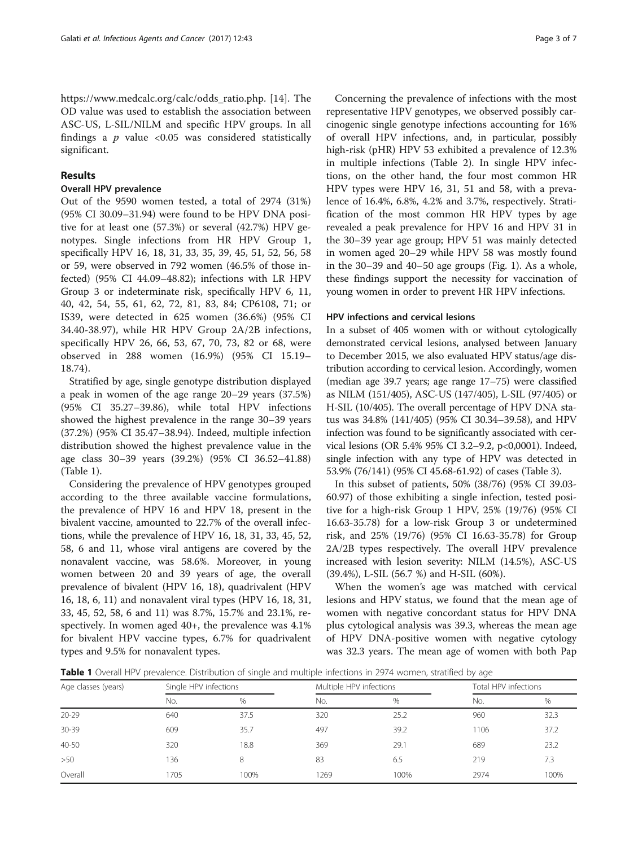[https://www.medcalc.org/calc/odds\\_ratio.php](https://www.medcalc.org/calc/odds_ratio.php). [\[14](#page-5-0)]. The OD value was used to establish the association between ASC-US, L-SIL/NILM and specific HPV groups. In all findings a  $p$  value <0.05 was considered statistically significant.

#### Results

#### Overall HPV prevalence

Out of the 9590 women tested, a total of 2974 (31%) (95% CI 30.09–31.94) were found to be HPV DNA positive for at least one (57.3%) or several (42.7%) HPV genotypes. Single infections from HR HPV Group 1, specifically HPV 16, 18, 31, 33, 35, 39, 45, 51, 52, 56, 58 or 59, were observed in 792 women (46.5% of those infected) (95% CI 44.09–48.82); infections with LR HPV Group 3 or indeterminate risk, specifically HPV 6, 11, 40, 42, 54, 55, 61, 62, 72, 81, 83, 84; CP6108, 71; or IS39, were detected in 625 women (36.6%) (95% CI 34.40-38.97), while HR HPV Group 2A/2B infections, specifically HPV 26, 66, 53, 67, 70, 73, 82 or 68, were observed in 288 women (16.9%) (95% CI 15.19– 18.74).

Stratified by age, single genotype distribution displayed a peak in women of the age range 20–29 years (37.5%) (95% CI 35.27–39.86), while total HPV infections showed the highest prevalence in the range 30–39 years (37.2%) (95% CI 35.47–38.94). Indeed, multiple infection distribution showed the highest prevalence value in the age class 30–39 years (39.2%) (95% CI 36.52–41.88) (Table 1).

Considering the prevalence of HPV genotypes grouped according to the three available vaccine formulations, the prevalence of HPV 16 and HPV 18, present in the bivalent vaccine, amounted to 22.7% of the overall infections, while the prevalence of HPV 16, 18, 31, 33, 45, 52, 58, 6 and 11, whose viral antigens are covered by the nonavalent vaccine, was 58.6%. Moreover, in young women between 20 and 39 years of age, the overall prevalence of bivalent (HPV 16, 18), quadrivalent (HPV 16, 18, 6, 11) and nonavalent viral types (HPV 16, 18, 31, 33, 45, 52, 58, 6 and 11) was 8.7%, 15.7% and 23.1%, respectively. In women aged 40+, the prevalence was 4.1% for bivalent HPV vaccine types, 6.7% for quadrivalent types and 9.5% for nonavalent types.

Concerning the prevalence of infections with the most representative HPV genotypes, we observed possibly carcinogenic single genotype infections accounting for 16% of overall HPV infections, and, in particular, possibly high-risk (pHR) HPV 53 exhibited a prevalence of 12.3% in multiple infections (Table [2](#page-3-0)). In single HPV infections, on the other hand, the four most common HR HPV types were HPV 16, 31, 51 and 58, with a prevalence of 16.4%, 6.8%, 4.2% and 3.7%, respectively. Stratification of the most common HR HPV types by age revealed a peak prevalence for HPV 16 and HPV 31 in the 30–39 year age group; HPV 51 was mainly detected in women aged 20–29 while HPV 58 was mostly found in the 30–39 and 40–50 age groups (Fig. [1\)](#page-3-0). As a whole, these findings support the necessity for vaccination of young women in order to prevent HR HPV infections.

#### HPV infections and cervical lesions

In a subset of 405 women with or without cytologically demonstrated cervical lesions, analysed between January to December 2015, we also evaluated HPV status/age distribution according to cervical lesion. Accordingly, women (median age 39.7 years; age range 17–75) were classified as NILM (151/405), ASC-US (147/405), L-SIL (97/405) or H-SIL (10/405). The overall percentage of HPV DNA status was 34.8% (141/405) (95% CI 30.34–39.58), and HPV infection was found to be significantly associated with cervical lesions (OR 5.4% 95% CI 3.2–9.2, p<0,0001). Indeed, single infection with any type of HPV was detected in 53.9% (76/141) (95% CI 45.68-61.92) of cases (Table [3](#page-4-0)).

In this subset of patients, 50% (38/76) (95% CI 39.03- 60.97) of those exhibiting a single infection, tested positive for a high-risk Group 1 HPV, 25% (19/76) (95% CI 16.63-35.78) for a low-risk Group 3 or undetermined risk, and 25% (19/76) (95% CI 16.63-35.78) for Group 2A/2B types respectively. The overall HPV prevalence increased with lesion severity: NILM (14.5%), ASC-US (39.4%), L-SIL (56.7 %) and H-SIL (60%).

When the women's age was matched with cervical lesions and HPV status, we found that the mean age of women with negative concordant status for HPV DNA plus cytological analysis was 39.3, whereas the mean age of HPV DNA-positive women with negative cytology was 32.3 years. The mean age of women with both Pap

Table 1 Overall HPV prevalence. Distribution of single and multiple infections in 2974 women, stratified by age

| Age classes (years) | Single HPV infections |      | Multiple HPV infections |      | Total HPV infections |      |
|---------------------|-----------------------|------|-------------------------|------|----------------------|------|
|                     | No.                   | $\%$ | No.                     | %    | No.                  | %    |
| $20 - 29$           | 640                   | 37.5 | 320                     | 25.2 | 960                  | 32.3 |
| 30-39               | 609                   | 35.7 | 497                     | 39.2 | 1106                 | 37.2 |
| 40-50               | 320                   | 18.8 | 369                     | 29.1 | 689                  | 23.2 |
| >50                 | 136                   | 8    | 83                      | 6.5  | 219                  | 7.3  |
| Overall             | 1705                  | 100% | 1269                    | 100% | 2974                 | 100% |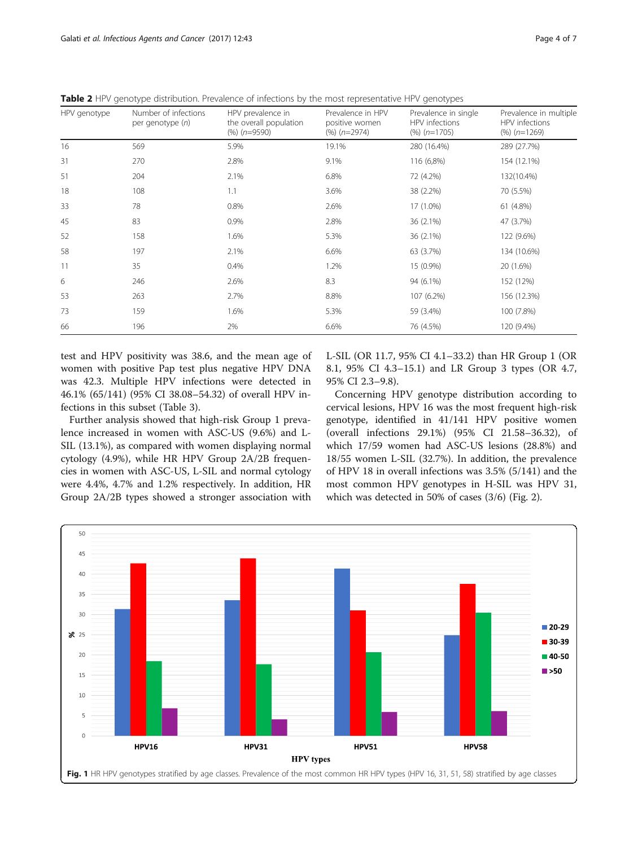<span id="page-3-0"></span>Table 2 HPV genotype distribution. Prevalence of infections by the most representative HPV genotypes

| HPV genotype | Number of infections<br>per genotype (n) | HPV prevalence in<br>the overall population<br>$(%) (n=9590)$ | Prevalence in HPV<br>positive women<br>$(%) (n=2974)$ | Prevalence in single<br>HPV infections<br>$(%) (n=1705)$ | Prevalence in multiple<br>HPV infections<br>$(%) (n=1269)$ |
|--------------|------------------------------------------|---------------------------------------------------------------|-------------------------------------------------------|----------------------------------------------------------|------------------------------------------------------------|
| 16           | 569                                      | 5.9%                                                          | 19.1%                                                 | 280 (16.4%)                                              | 289 (27.7%)                                                |
| 31           | 270                                      | 2.8%                                                          | 9.1%                                                  | 116 (6,8%)                                               | 154 (12.1%)                                                |
| 51           | 204                                      | 2.1%                                                          | 6.8%                                                  | 72 (4.2%)                                                | 132(10.4%)                                                 |
| 18           | 108                                      | 1.1                                                           | 3.6%                                                  | 38 (2.2%)                                                | 70 (5.5%)                                                  |
| 33           | 78                                       | 0.8%                                                          | 2.6%                                                  | 17 (1.0%)                                                | 61 (4.8%)                                                  |
| 45           | 83                                       | 0.9%                                                          | 2.8%                                                  | 36 (2.1%)                                                | 47 (3.7%)                                                  |
| 52           | 158                                      | 1.6%                                                          | 5.3%                                                  | 36 (2.1%)                                                | 122 (9.6%)                                                 |
| 58           | 197                                      | 2.1%                                                          | 6.6%                                                  | 63 (3.7%)                                                | 134 (10.6%)                                                |
| 11           | 35                                       | 0.4%                                                          | 1.2%                                                  | 15 (0.9%)                                                | 20 (1.6%)                                                  |
| 6            | 246                                      | 2.6%                                                          | 8.3                                                   | 94 (6.1%)                                                | 152 (12%)                                                  |
| 53           | 263                                      | 2.7%                                                          | 8.8%                                                  | 107 (6.2%)                                               | 156 (12.3%)                                                |
| 73           | 159                                      | 1.6%                                                          | 5.3%                                                  | 59 (3.4%)                                                | 100 (7.8%)                                                 |
| 66           | 196                                      | 2%                                                            | 6.6%                                                  | 76 (4.5%)                                                | 120 (9.4%)                                                 |

test and HPV positivity was 38.6, and the mean age of women with positive Pap test plus negative HPV DNA was 42.3. Multiple HPV infections were detected in 46.1% (65/141) (95% CI 38.08–54.32) of overall HPV infections in this subset (Table [3\)](#page-4-0).

Further analysis showed that high-risk Group 1 prevalence increased in women with ASC-US (9.6%) and L-SIL (13.1%), as compared with women displaying normal cytology (4.9%), while HR HPV Group 2A/2B frequencies in women with ASC-US, L-SIL and normal cytology were 4.4%, 4.7% and 1.2% respectively. In addition, HR Group 2A/2B types showed a stronger association with L-SIL (OR 11.7, 95% CI 4.1–33.2) than HR Group 1 (OR 8.1, 95% CI 4.3–15.1) and LR Group 3 types (OR 4.7, 95% CI 2.3–9.8).

Concerning HPV genotype distribution according to cervical lesions, HPV 16 was the most frequent high-risk genotype, identified in 41/141 HPV positive women (overall infections 29.1%) (95% CI 21.58–36.32), of which 17/59 women had ASC-US lesions (28.8%) and 18/55 women L-SIL (32.7%). In addition, the prevalence of HPV 18 in overall infections was 3.5% (5/141) and the most common HPV genotypes in H-SIL was HPV 31, which was detected in 50% of cases (3/6) (Fig. [2](#page-4-0)).

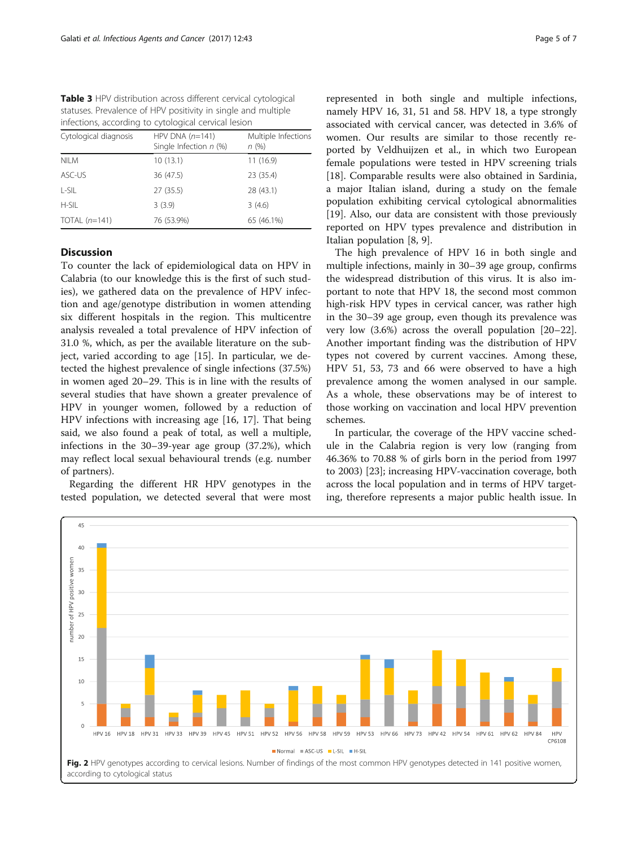<span id="page-4-0"></span>Table 3 HPV distribution across different cervical cytological statuses. Prevalence of HPV positivity in single and multiple infections, according to cytological cervical lesion

| Cytological diagnosis | HPV DNA $(n=141)$<br>Single Infection $n$ (%) | Multiple Infections<br>n(%) |
|-----------------------|-----------------------------------------------|-----------------------------|
| <b>NILM</b>           | 10(13.1)                                      | 11(16.9)                    |
| ASC-US                | 36 (47.5)                                     | 23 (35.4)                   |
| L-SIL                 | 27 (35.5)                                     | 28 (43.1)                   |
| H-SII                 | 3(3.9)                                        | 3(4.6)                      |
| TOTAL $(n=141)$       | 76 (53.9%)                                    | 65 (46.1%)                  |

#### **Discussion**

To counter the lack of epidemiological data on HPV in Calabria (to our knowledge this is the first of such studies), we gathered data on the prevalence of HPV infection and age/genotype distribution in women attending six different hospitals in the region. This multicentre analysis revealed a total prevalence of HPV infection of 31.0 %, which, as per the available literature on the subject, varied according to age [\[15](#page-5-0)]. In particular, we detected the highest prevalence of single infections (37.5%) in women aged 20–29. This is in line with the results of several studies that have shown a greater prevalence of HPV in younger women, followed by a reduction of HPV infections with increasing age [[16, 17](#page-5-0)]. That being said, we also found a peak of total, as well a multiple, infections in the 30–39-year age group (37.2%), which may reflect local sexual behavioural trends (e.g. number of partners).

Regarding the different HR HPV genotypes in the tested population, we detected several that were most

represented in both single and multiple infections, namely HPV 16, 31, 51 and 58. HPV 18, a type strongly associated with cervical cancer, was detected in 3.6% of women. Our results are similar to those recently reported by Veldhuijzen et al., in which two European female populations were tested in HPV screening trials [[18\]](#page-6-0). Comparable results were also obtained in Sardinia, a major Italian island, during a study on the female population exhibiting cervical cytological abnormalities [[19\]](#page-6-0). Also, our data are consistent with those previously reported on HPV types prevalence and distribution in Italian population [[8, 9](#page-5-0)].

The high prevalence of HPV 16 in both single and multiple infections, mainly in 30–39 age group, confirms the widespread distribution of this virus. It is also important to note that HPV 18, the second most common high-risk HPV types in cervical cancer, was rather high in the 30–39 age group, even though its prevalence was very low (3.6%) across the overall population [[20](#page-6-0)–[22](#page-6-0)]. Another important finding was the distribution of HPV types not covered by current vaccines. Among these, HPV 51, 53, 73 and 66 were observed to have a high prevalence among the women analysed in our sample. As a whole, these observations may be of interest to those working on vaccination and local HPV prevention schemes.

In particular, the coverage of the HPV vaccine schedule in the Calabria region is very low (ranging from 46.36% to 70.88 % of girls born in the period from 1997 to 2003) [[23\]](#page-6-0); increasing HPV-vaccination coverage, both across the local population and in terms of HPV targeting, therefore represents a major public health issue. In

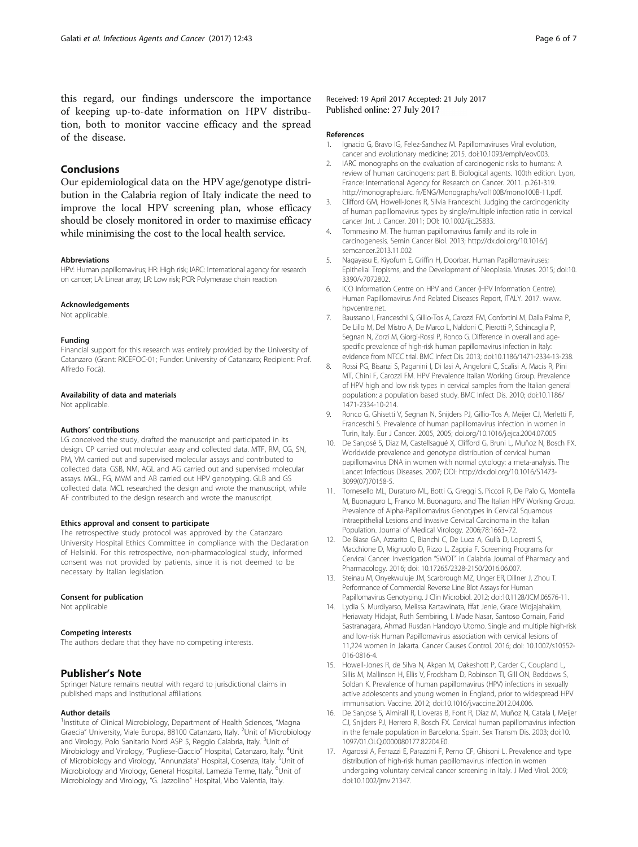<span id="page-5-0"></span>this regard, our findings underscore the importance of keeping up-to-date information on HPV distribution, both to monitor vaccine efficacy and the spread of the disease.

#### Conclusions

Our epidemiological data on the HPV age/genotype distribution in the Calabria region of Italy indicate the need to improve the local HPV screening plan, whose efficacy should be closely monitored in order to maximise efficacy while minimising the cost to the local health service.

#### Abbreviations

HPV: Human papillomavirus; HR: High risk; IARC: International agency for research on cancer; LA: Linear array; LR: Low risk; PCR: Polymerase chain reaction

#### Acknowledgements

Not applicable.

#### Funding

Financial support for this research was entirely provided by the University of Catanzaro (Grant: RICEFOC-01; Funder: University of Catanzaro; Recipient: Prof. Alfredo Focà).

#### Availability of data and materials

Not applicable.

#### Authors' contributions

LG conceived the study, drafted the manuscript and participated in its design. CP carried out molecular assay and collected data. MTF, RM, CG, SN, PM, VM carried out and supervised molecular assays and contributed to collected data. GSB, NM, AGL and AG carried out and supervised molecular assays. MGL, FG, MVM and AB carried out HPV genotyping. GLB and GS collected data. MCL researched the design and wrote the manuscript, while AF contributed to the design research and wrote the manuscript.

#### Ethics approval and consent to participate

The retrospective study protocol was approved by the Catanzaro University Hospital Ethics Committee in compliance with the Declaration of Helsinki. For this retrospective, non-pharmacological study, informed consent was not provided by patients, since it is not deemed to be necessary by Italian legislation.

#### Consent for publication

Not applicable

#### Competing interests

The authors declare that they have no competing interests.

#### Publisher's Note

Springer Nature remains neutral with regard to jurisdictional claims in published maps and institutional affiliations.

#### Author details

<sup>1</sup>Institute of Clinical Microbiology, Department of Health Sciences, "Magna Graecia" University, Viale Europa, 88100 Catanzaro, Italy. <sup>2</sup>Unit of Microbiology and Virology, Polo Sanitario Nord ASP 5, Reggio Calabria, Italy. <sup>3</sup>Unit of Mirobiology and Virology, "Pugliese-Ciaccio" Hospital, Catanzaro, Italy. <sup>4</sup>Unit of Microbiology and Virology, "Annunziata" Hospital, Cosenza, Italy. <sup>5</sup> Unit of Microbiology and Virology, General Hospital, Lamezia Terme, Italy. <sup>6</sup>Unit of Microbiology and Virology, "G. Jazzolino" Hospital, Vibo Valentia, Italy.

Received: 19 April 2017 Accepted: 21 July 2017 Published online: 27 July 2017

#### References

- 1. Ignacio G, Bravo IG, Felez-Sanchez M. Papillomaviruses Viral evolution, cancer and evolutionary medicine; 2015. doi:[10.1093/emph/eov003.](http://dx.doi.org/10.1093/emph/eov003)
- 2. IARC monographs on the evaluation of carcinogenic risks to humans: A review of human carcinogens: part B. Biological agents. 100th edition. Lyon, France: International Agency for Research on Cancer. 2011. p.261-319. <http://monographs.iarc>. fr/ENG/Monographs/vol100B/mono100B-11.pdf.
- 3. Clifford GM, Howell-Jones R, Silvia Franceschi. Judging the carcinogenicity of human papillomavirus types by single/multiple infection ratio in cervical cancer .Int. J. Cancer. 2011; DOI: [10.1002/ijc.25833.](http://dx.doi.org/10.1002/ijc.25833)
- 4. Tommasino M. The human papillomavirus family and its role in carcinogenesis. Semin Cancer Biol. 2013; [http://dx.doi.org/10.1016/j.](http://dx.doi.org/10.1016/j.semcancer.2013.11.002) [semcancer.2013.11.002](http://dx.doi.org/10.1016/j.semcancer.2013.11.002)
- 5. Nagayasu E, Kiyofum E, Griffin H, Doorbar. Human Papillomaviruses; Epithelial Tropisms, and the Development of Neoplasia. Viruses. 2015; doi:10. 3390/v7072802.
- 6. ICO Information Centre on HPV and Cancer (HPV Information Centre). Human Papillomavirus And Related Diseases Report, ITALY. 2017. [www.](http://www.hpvcentre.net) [hpvcentre.net](http://www.hpvcentre.net).
- 7. Baussano I, Franceschi S, Gillio-Tos A, Carozzi FM, Confortini M, Dalla Palma P, De Lillo M, Del Mistro A, De Marco L, Naldoni C, Pierotti P, Schincaglia P, Segnan N, Zorzi M, Giorgi-Rossi P, Ronco G. Difference in overall and agespecific prevalence of high-risk human papillomavirus infection in Italy: evidence from NTCC trial. BMC Infect Dis. 2013; doi:[10.1186/1471-2334-13-238](http://dx.doi.org/10.1186/1471-2334-13-238).
- 8. Rossi PG, Bisanzi S, Paganini I, Di Iasi A, Angeloni C, Scalisi A, Macis R, Pini MT, Chini F, Carozzi FM. HPV Prevalence Italian Working Group. Prevalence of HPV high and low risk types in cervical samples from the Italian general population: a population based study. BMC Infect Dis. 2010; doi:[10.1186/](http://dx.doi.org/10.1186/1471-2334-10-214) [1471-2334-10-214](http://dx.doi.org/10.1186/1471-2334-10-214).
- 9. Ronco G, Ghisetti V, Segnan N, Snijders PJ, Gillio-Tos A, Meijer CJ, Merletti F, Franceschi S. Prevalence of human papillomavirus infection in women in Turin, Italy. Eur J Cancer. 2005, 2005; [doi.org/10.1016/j.ejca.2004.07.005](http://dx.doi.org/10.1016/j.ejca.2004.07.005)
- 10. De Sanjosé S, Diaz M, Castellsagué X, Clifford G, Bruni L, Muñoz N, Bosch FX. Worldwide prevalence and genotype distribution of cervical human papillomavirus DNA in women with normal cytology: a meta-analysis. The Lancet Infectious Diseases. 2007; DOI: [http://dx.doi.org/10.1016/S1473-](http://dx.doi.org/10.1016/S1473-3099(07)70158-5) [3099\(07\)70158-5](http://dx.doi.org/10.1016/S1473-3099(07)70158-5).
- 11. Tornesello ML, Duraturo ML, Botti G, Greggi S, Piccoli R, De Palo G, Montella M, Buonaguro L, Franco M. Buonaguro, and The Italian HPV Working Group. Prevalence of Alpha-Papillomavirus Genotypes in Cervical Squamous Intraepithelial Lesions and Invasive Cervical Carcinoma in the Italian Population. Journal of Medical Virology. 2006;78:1663–72.
- 12. De Biase GA, Azzarito C, Bianchi C, De Luca A, Gullà D, Lopresti S, Macchione D, Mignuolo D, Rizzo L, Zappia F. Screening Programs for Cervical Cancer: Investigation "SWOT" in Calabria Journal of Pharmacy and Pharmacology. 2016; doi: 10.17265/2328-2150/2016.06.007.
- 13. Steinau M, Onyekwuluje JM, Scarbrough MZ, Unger ER, Dillner J, Zhou T. Performance of Commercial Reverse Line Blot Assays for Human Papillomavirus Genotyping. J Clin Microbiol. 2012; doi:[10.1128/JCM.06576-11](http://dx.doi.org/10.1128/JCM.06576-11).
- 14. Lydia S. Murdiyarso, Melissa Kartawinata, Iffat Jenie, Grace Widjajahakim, Heriawaty Hidajat, Ruth Sembiring, I. Made Nasar, Santoso Cornain, Farid Sastranagara, Ahmad Rusdan Handoyo Utomo. Single and multiple high-risk and low-risk Human Papillomavirus association with cervical lesions of 11,224 women in Jakarta. Cancer Causes Control. 2016; doi: 10.1007/s10552- 016-0816-4.
- 15. Howell-Jones R, de Silva N, Akpan M, Oakeshott P, Carder C, Coupland L, Sillis M, Mallinson H, Ellis V, Frodsham D, Robinson TI, Gill ON, Beddows S, Soldan K. Prevalence of human papillomavirus (HPV) infections in sexually active adolescents and young women in England, prior to widespread HPV immunisation. Vaccine. 2012; doi[:10.1016/j.vaccine.2012.04.006.](http://dx.doi.org/10.1016/j.vaccine.2012.04.006)
- 16. De Sanjose S, Almirall R, Lloveras B, Font R, Diaz M, Muñoz N, Catala I, Meijer CJ, Snijders PJ, Herrero R, Bosch FX. Cervical human papillomavirus infection in the female population in Barcelona. Spain. Sex Transm Dis. 2003; doi[:10.](http://dx.doi.org/10.1097/01.OLQ.0000080177.82204.E0) [1097/01.OLQ.0000080177.82204.E0.](http://dx.doi.org/10.1097/01.OLQ.0000080177.82204.E0)
- 17. Agarossi A, Ferrazzi E, Parazzini F, Perno CF, Ghisoni L. Prevalence and type distribution of high-risk human papillomavirus infection in women undergoing voluntary cervical cancer screening in Italy. J Med Virol. 2009; doi[:10.1002/jmv.21347.](http://dx.doi.org/10.1002/jmv.21347)